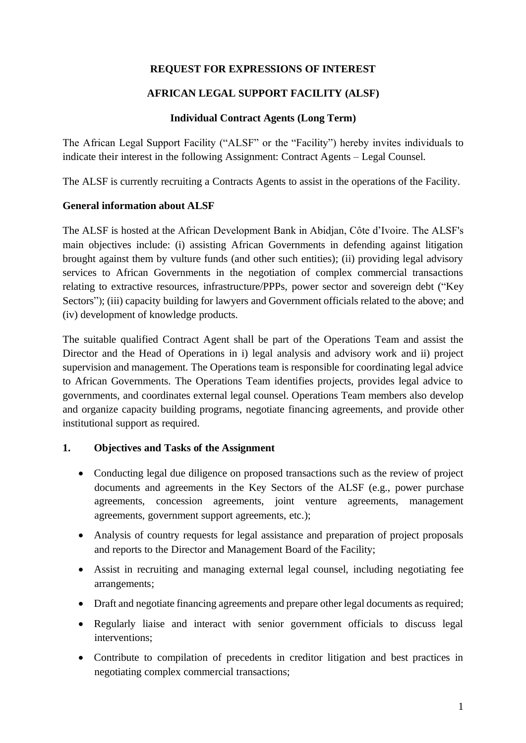### **REQUEST FOR EXPRESSIONS OF INTEREST**

### **AFRICAN LEGAL SUPPORT FACILITY (ALSF)**

### **Individual Contract Agents (Long Term)**

The African Legal Support Facility ("ALSF" or the "Facility") hereby invites individuals to indicate their interest in the following Assignment: Contract Agents – Legal Counsel.

The ALSF is currently recruiting a Contracts Agents to assist in the operations of the Facility.

### **General information about ALSF**

The ALSF is hosted at the African Development Bank in Abidjan, Côte d'Ivoire. The ALSF's main objectives include: (i) assisting African Governments in defending against litigation brought against them by vulture funds (and other such entities); (ii) providing legal advisory services to African Governments in the negotiation of complex commercial transactions relating to extractive resources, infrastructure/PPPs, power sector and sovereign debt ("Key Sectors"); (iii) capacity building for lawyers and Government officials related to the above; and (iv) development of knowledge products.

The suitable qualified Contract Agent shall be part of the Operations Team and assist the Director and the Head of Operations in i) legal analysis and advisory work and ii) project supervision and management. The Operations team is responsible for coordinating legal advice to African Governments. The Operations Team identifies projects, provides legal advice to governments, and coordinates external legal counsel. Operations Team members also develop and organize capacity building programs, negotiate financing agreements, and provide other institutional support as required.

### **1. Objectives and Tasks of the Assignment**

- Conducting legal due diligence on proposed transactions such as the review of project documents and agreements in the Key Sectors of the ALSF (e.g., power purchase agreements, concession agreements, joint venture agreements, management agreements, government support agreements, etc.);
- Analysis of country requests for legal assistance and preparation of project proposals and reports to the Director and Management Board of the Facility;
- Assist in recruiting and managing external legal counsel, including negotiating fee arrangements;
- Draft and negotiate financing agreements and prepare other legal documents as required;
- Regularly liaise and interact with senior government officials to discuss legal interventions;
- Contribute to compilation of precedents in creditor litigation and best practices in negotiating complex commercial transactions;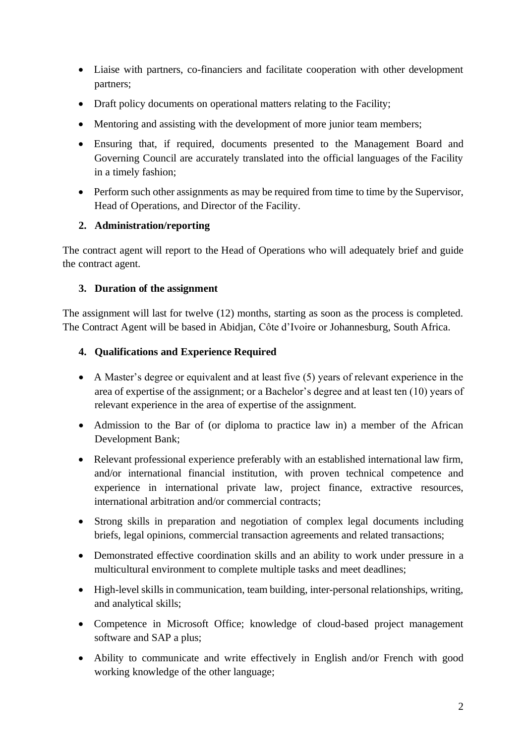- Liaise with partners, co-financiers and facilitate cooperation with other development partners;
- Draft policy documents on operational matters relating to the Facility;
- Mentoring and assisting with the development of more junior team members;
- Ensuring that, if required, documents presented to the Management Board and Governing Council are accurately translated into the official languages of the Facility in a timely fashion;
- Perform such other assignments as may be required from time to time by the Supervisor, Head of Operations, and Director of the Facility.

## **2. Administration/reporting**

The contract agent will report to the Head of Operations who will adequately brief and guide the contract agent.

## **3. Duration of the assignment**

The assignment will last for twelve (12) months, starting as soon as the process is completed. The Contract Agent will be based in Abidjan, Côte d'Ivoire or Johannesburg, South Africa.

## **4. Qualifications and Experience Required**

- A Master's degree or equivalent and at least five (5) years of relevant experience in the area of expertise of the assignment; or a Bachelor's degree and at least ten (10) years of relevant experience in the area of expertise of the assignment.
- Admission to the Bar of (or diploma to practice law in) a member of the African Development Bank;
- Relevant professional experience preferably with an established international law firm, and/or international financial institution, with proven technical competence and experience in international private law, project finance, extractive resources, international arbitration and/or commercial contracts;
- Strong skills in preparation and negotiation of complex legal documents including briefs, legal opinions, commercial transaction agreements and related transactions;
- Demonstrated effective coordination skills and an ability to work under pressure in a multicultural environment to complete multiple tasks and meet deadlines;
- High-level skills in communication, team building, inter-personal relationships, writing, and analytical skills;
- Competence in Microsoft Office; knowledge of cloud-based project management software and SAP a plus;
- Ability to communicate and write effectively in English and/or French with good working knowledge of the other language;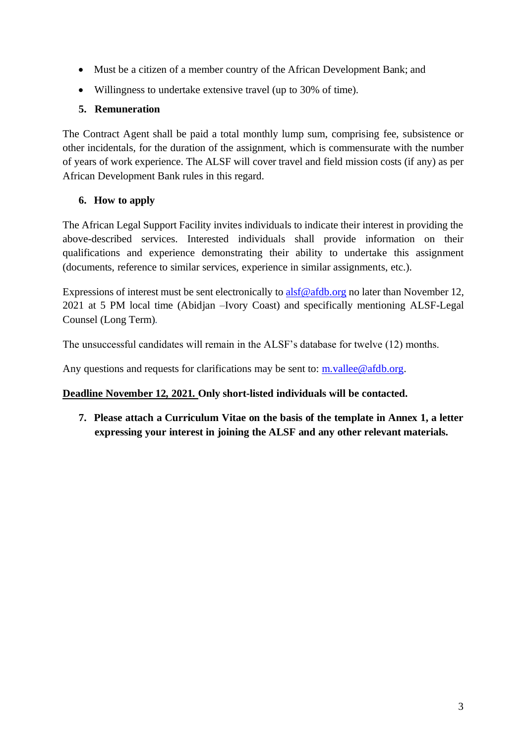- Must be a citizen of a member country of the African Development Bank; and
- Willingness to undertake extensive travel (up to 30% of time).

## **5. Remuneration**

The Contract Agent shall be paid a total monthly lump sum, comprising fee, subsistence or other incidentals, for the duration of the assignment, which is commensurate with the number of years of work experience. The ALSF will cover travel and field mission costs (if any) as per African Development Bank rules in this regard.

# **6. How to apply**

The African Legal Support Facility invites individuals to indicate their interest in providing the above-described services. Interested individuals shall provide information on their qualifications and experience demonstrating their ability to undertake this assignment (documents, reference to similar services, experience in similar assignments, etc.).

Expressions of interest must be sent electronically to [alsf@afdb.org](mailto:alsf@afdb.org) no later than November 12, 2021 at 5 PM local time (Abidjan –Ivory Coast) and specifically mentioning ALSF-Legal Counsel (Long Term)*.*

The unsuccessful candidates will remain in the ALSF's database for twelve (12) months.

Any questions and requests for clarifications may be sent to:  $m.value@afdb.org$ .

## **Deadline November 12, 2021. Only short-listed individuals will be contacted.**

**7. Please attach a Curriculum Vitae on the basis of the template in Annex 1, a letter expressing your interest in joining the ALSF and any other relevant materials.**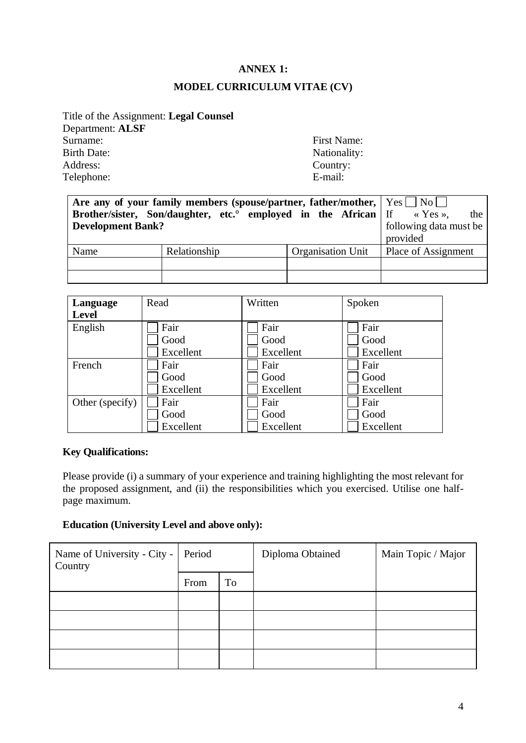# **ANNEX 1: MODEL CURRICULUM VITAE (CV)**

Title of the Assignment: **Legal Counsel** Department: **ALSF** Surname: First Name: First Name: First Name: Parth Date: Nationality: Nationality: Nationality: Nationality: Nationality: Nationality: Nationality: Nationality: Nationality: Nationality: Nationality: Nationality: Nationali Address: Country: Country: Country: Country: E-mail: Telephone:

Nationality:

| <b>Development Bank?</b> | Are any of your family members (spouse/partner, father/mother, $\vert$ Yes $\vert$ No $\vert$<br>Brother/sister, Son/daughter, etc. employed in the African If $\alpha$ Yes. |                   | the<br>following data must be<br>provided |
|--------------------------|------------------------------------------------------------------------------------------------------------------------------------------------------------------------------|-------------------|-------------------------------------------|
| Name                     | Relationship                                                                                                                                                                 | Organisation Unit | Place of Assignment                       |
|                          |                                                                                                                                                                              |                   |                                           |
|                          |                                                                                                                                                                              |                   |                                           |

| Language        | Read      | Written   | Spoken    |
|-----------------|-----------|-----------|-----------|
| Level           |           |           |           |
| English         | Fair      | Fair      | Fair      |
|                 | Good      | Good      | Good      |
|                 | Excellent | Excellent | Excellent |
| French          | Fair      | Fair      | Fair      |
|                 | Good      | Good      | Good      |
|                 | Excellent | Excellent | Excellent |
| Other (specify) | Fair      | Fair      | Fair      |
|                 | Good      | Good      | Good      |
|                 | Excellent | Excellent | Excellent |

### **Key Qualifications:**

Please provide (i) a summary of your experience and training highlighting the most relevant for the proposed assignment, and (ii) the responsibilities which you exercised. Utilise one halfpage maximum.

#### **Education (University Level and above only):**

| Name of University - City -<br>Country | Period |    | Diploma Obtained | Main Topic / Major |
|----------------------------------------|--------|----|------------------|--------------------|
|                                        | From   | To |                  |                    |
|                                        |        |    |                  |                    |
|                                        |        |    |                  |                    |
|                                        |        |    |                  |                    |
|                                        |        |    |                  |                    |